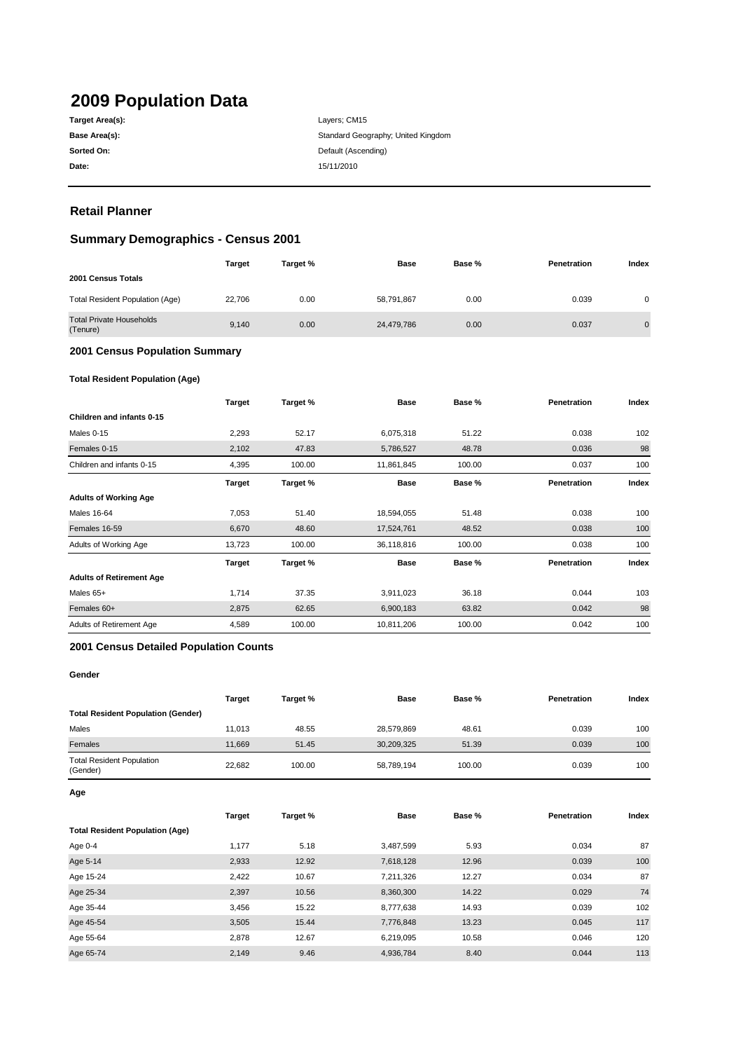# **2009 Population Data**

| Target Area(s): |
|-----------------|
| Base Area(s):   |
| Sorted On:      |
| Date:           |

**Date:** 15/11/2010 Layers; CM15 Standard Geography; United Kingdom **Default (Ascending)** 

# **Retail Planner**

# **Summary Demographics - Census 2001**

|                                             | <b>Target</b> | Target % | <b>Base</b> | Base % | Penetration | Index          |
|---------------------------------------------|---------------|----------|-------------|--------|-------------|----------------|
| 2001 Census Totals                          |               |          |             |        |             |                |
| Total Resident Population (Age)             | 22.706        | 0.00     | 58,791,867  | 0.00   | 0.039       | 0              |
| <b>Total Private Households</b><br>(Tenure) | 9.140         | 0.00     | 24,479,786  | 0.00   | 0.037       | $\overline{0}$ |

#### **2001 Census Population Summary**

### **Total Resident Population (Age)**

|                                 | <b>Target</b> | Target % | <b>Base</b> | Base % | Penetration | Index |
|---------------------------------|---------------|----------|-------------|--------|-------------|-------|
| Children and infants 0-15       |               |          |             |        |             |       |
| Males 0-15                      | 2,293         | 52.17    | 6,075,318   | 51.22  | 0.038       | 102   |
| Females 0-15                    | 2,102         | 47.83    | 5,786,527   | 48.78  | 0.036       | 98    |
| Children and infants 0-15       | 4,395         | 100.00   | 11,861,845  | 100.00 | 0.037       | 100   |
|                                 | <b>Target</b> | Target % | <b>Base</b> | Base % | Penetration | Index |
| <b>Adults of Working Age</b>    |               |          |             |        |             |       |
| Males 16-64                     | 7,053         | 51.40    | 18,594,055  | 51.48  | 0.038       | 100   |
| Females 16-59                   | 6,670         | 48.60    | 17,524,761  | 48.52  | 0.038       | 100   |
| Adults of Working Age           | 13,723        | 100.00   | 36,118,816  | 100.00 | 0.038       | 100   |
|                                 | Target        | Target % | Base        | Base % | Penetration | Index |
| <b>Adults of Retirement Age</b> |               |          |             |        |             |       |
| Males 65+                       | 1,714         | 37.35    | 3,911,023   | 36.18  | 0.044       | 103   |
| Females 60+                     | 2,875         | 62.65    | 6,900,183   | 63.82  | 0.042       | 98    |
| Adults of Retirement Age        | 4,589         | 100.00   | 10,811,206  | 100.00 | 0.042       | 100   |

#### **2001 Census Detailed Population Counts**

#### **Gender**

|                                              | <b>Target</b> | Target % | <b>Base</b> | Base % | Penetration | Index |
|----------------------------------------------|---------------|----------|-------------|--------|-------------|-------|
| <b>Total Resident Population (Gender)</b>    |               |          |             |        |             |       |
| Males                                        | 11.013        | 48.55    | 28,579,869  | 48.61  | 0.039       | 100   |
| Females                                      | 11.669        | 51.45    | 30,209,325  | 51.39  | 0.039       | 100   |
| <b>Total Resident Population</b><br>(Gender) | 22.682        | 100.00   | 58,789,194  | 100.00 | 0.039       | 100   |

**Age**

|                                        | <b>Target</b> | Target % | <b>Base</b> | Base % | Penetration | Index |
|----------------------------------------|---------------|----------|-------------|--------|-------------|-------|
| <b>Total Resident Population (Age)</b> |               |          |             |        |             |       |
| Age 0-4                                | 1.177         | 5.18     | 3,487,599   | 5.93   | 0.034       | 87    |
| Age 5-14                               | 2,933         | 12.92    | 7,618,128   | 12.96  | 0.039       | 100   |
| Age 15-24                              | 2,422         | 10.67    | 7.211.326   | 12.27  | 0.034       | 87    |
| Age 25-34                              | 2,397         | 10.56    | 8,360,300   | 14.22  | 0.029       | 74    |
| Age 35-44                              | 3,456         | 15.22    | 8,777,638   | 14.93  | 0.039       | 102   |
| Age 45-54                              | 3,505         | 15.44    | 7,776,848   | 13.23  | 0.045       | 117   |
| Age 55-64                              | 2,878         | 12.67    | 6,219,095   | 10.58  | 0.046       | 120   |
| Age 65-74                              | 2.149         | 9.46     | 4,936,784   | 8.40   | 0.044       | 113   |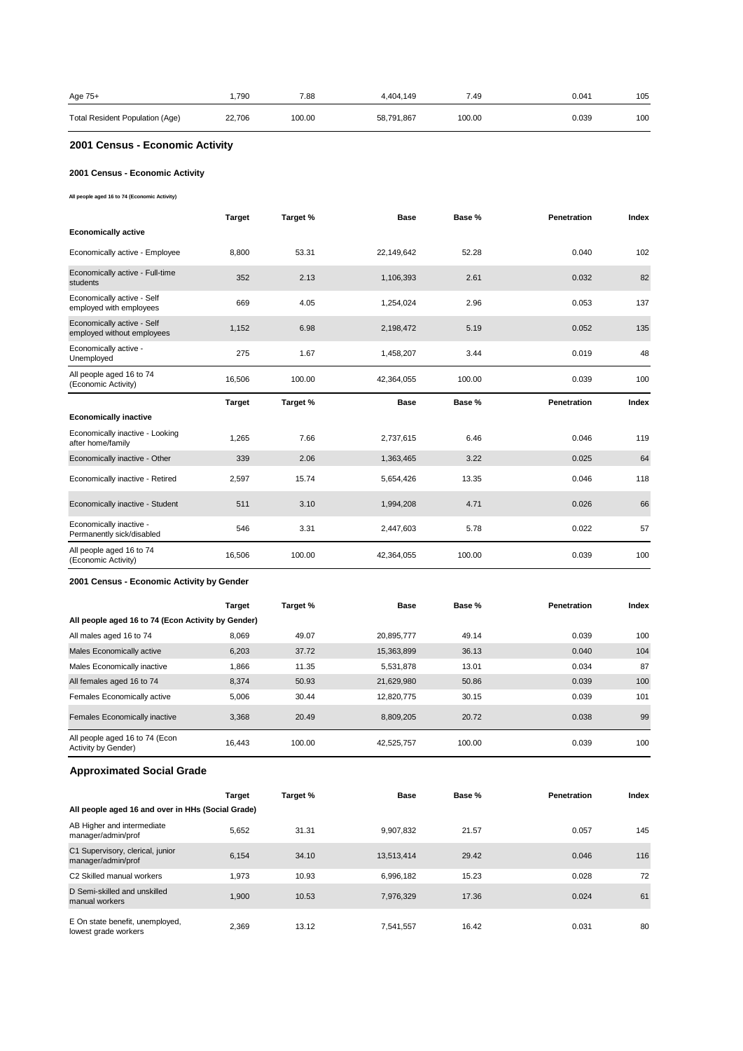| Age 75+                         | .790   | 7.88   | 4.404.149  | 7.49   | 0.041 | 105 |
|---------------------------------|--------|--------|------------|--------|-------|-----|
| Total Resident Population (Age) | 22,706 | 100.00 | 58,791,867 | 100.00 | 0.039 | 100 |

# **2001 Census - Economic Activity**

### **2001 Census - Economic Activity**

**All people aged 16 to 74 (Economic Activity)**

|                                                          | <b>Target</b> | Target % | <b>Base</b> | Base % | Penetration        | Index |
|----------------------------------------------------------|---------------|----------|-------------|--------|--------------------|-------|
| <b>Economically active</b>                               |               |          |             |        |                    |       |
| Economically active - Employee                           | 8,800         | 53.31    | 22,149,642  | 52.28  | 0.040              | 102   |
| Economically active - Full-time<br>students              | 352           | 2.13     | 1,106,393   | 2.61   | 0.032              | 82    |
| Economically active - Self<br>employed with employees    | 669           | 4.05     | 1,254,024   | 2.96   | 0.053              | 137   |
| Economically active - Self<br>employed without employees | 1,152         | 6.98     | 2,198,472   | 5.19   | 0.052              | 135   |
| Economically active -<br>Unemployed                      | 275           | 1.67     | 1,458,207   | 3.44   | 0.019              | 48    |
| All people aged 16 to 74<br>(Economic Activity)          | 16,506        | 100.00   | 42,364,055  | 100.00 | 0.039              | 100   |
|                                                          |               |          |             |        |                    |       |
|                                                          | <b>Target</b> | Target % | <b>Base</b> | Base % | <b>Penetration</b> | Index |
| <b>Economically inactive</b>                             |               |          |             |        |                    |       |
| Economically inactive - Looking<br>after home/family     | 1.265         | 7.66     | 2,737,615   | 6.46   | 0.046              | 119   |
| Economically inactive - Other                            | 339           | 2.06     | 1,363,465   | 3.22   | 0.025              | 64    |
| Economically inactive - Retired                          | 2,597         | 15.74    | 5,654,426   | 13.35  | 0.046              | 118   |
| Economically inactive - Student                          | 511           | 3.10     | 1,994,208   | 4.71   | 0.026              | 66    |
| Economically inactive -<br>Permanently sick/disabled     | 546           | 3.31     | 2,447,603   | 5.78   | 0.022              | 57    |

#### **2001 Census - Economic Activity by Gender**

|                                                       | <b>Target</b> | Target % | <b>Base</b> | Base % | Penetration | Index |
|-------------------------------------------------------|---------------|----------|-------------|--------|-------------|-------|
| All people aged 16 to 74 (Econ Activity by Gender)    |               |          |             |        |             |       |
| All males aged 16 to 74                               | 8,069         | 49.07    | 20.895.777  | 49.14  | 0.039       | 100   |
| Males Economically active                             | 6.203         | 37.72    | 15,363,899  | 36.13  | 0.040       | 104   |
| Males Economically inactive                           | 1,866         | 11.35    | 5,531,878   | 13.01  | 0.034       | 87    |
| All females aged 16 to 74                             | 8.374         | 50.93    | 21,629,980  | 50.86  | 0.039       | 100   |
| Females Economically active                           | 5.006         | 30.44    | 12.820.775  | 30.15  | 0.039       | 101   |
| Females Economically inactive                         | 3.368         | 20.49    | 8.809.205   | 20.72  | 0.038       | 99    |
| All people aged 16 to 74 (Econ<br>Activity by Gender) | 16.443        | 100.00   | 42,525,757  | 100.00 | 0.039       | 100   |

# **Approximated Social Grade**

|                                                         | <b>Target</b> | Target % | <b>Base</b> | Base % | <b>Penetration</b> | Index |
|---------------------------------------------------------|---------------|----------|-------------|--------|--------------------|-------|
| All people aged 16 and over in HHs (Social Grade)       |               |          |             |        |                    |       |
| AB Higher and intermediate<br>manager/admin/prof        | 5.652         | 31.31    | 9.907.832   | 21.57  | 0.057              | 145   |
| C1 Supervisory, clerical, junior<br>manager/admin/prof  | 6.154         | 34.10    | 13,513,414  | 29.42  | 0.046              | 116   |
| C2 Skilled manual workers                               | 1.973         | 10.93    | 6.996.182   | 15.23  | 0.028              | 72    |
| D Semi-skilled and unskilled<br>manual workers          | 1.900         | 10.53    | 7.976.329   | 17.36  | 0.024              | 61    |
| E On state benefit, unemployed,<br>lowest grade workers | 2.369         | 13.12    | 7.541.557   | 16.42  | 0.031              | 80    |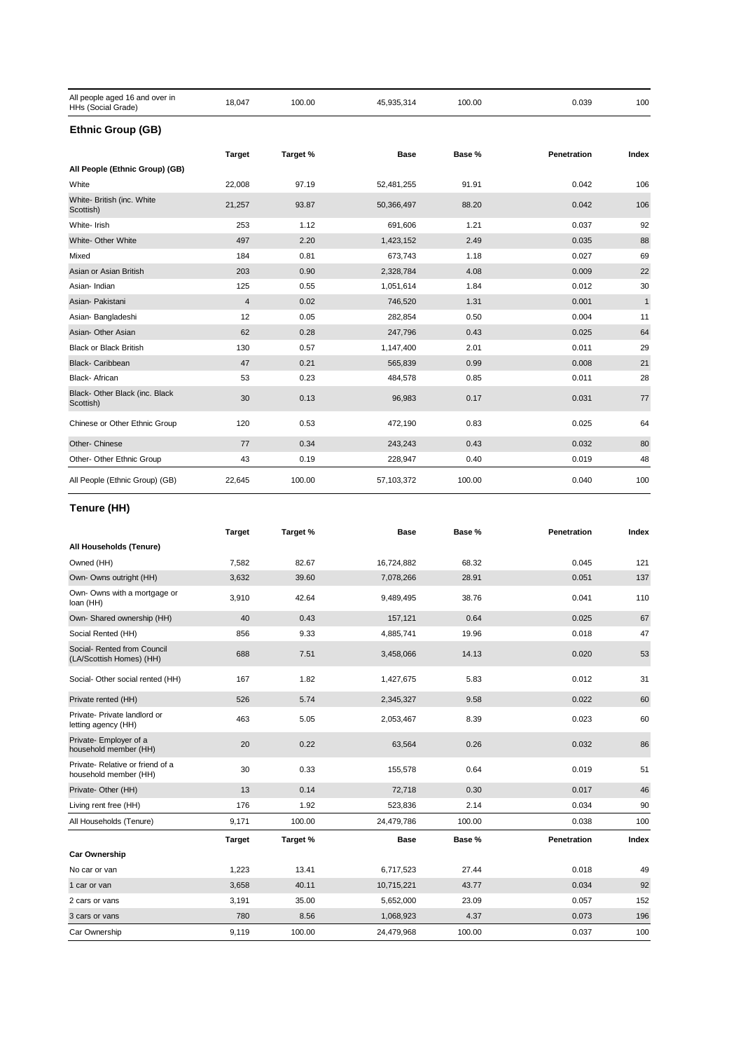| All people aged 16 and over in<br>HHs (Social Grade) | 18,047                  | 100.00   | 45,935,314 | 100.00 | 0.039       | 100          |
|------------------------------------------------------|-------------------------|----------|------------|--------|-------------|--------------|
| <b>Ethnic Group (GB)</b>                             |                         |          |            |        |             |              |
|                                                      | <b>Target</b>           | Target % | Base       | Base % | Penetration | Index        |
| All People (Ethnic Group) (GB)                       |                         |          |            |        |             |              |
| White                                                | 22,008                  | 97.19    | 52,481,255 | 91.91  | 0.042       | 106          |
| White- British (inc. White<br>Scottish)              | 21,257                  | 93.87    | 50,366,497 | 88.20  | 0.042       | 106          |
| White- Irish                                         | 253                     | 1.12     | 691,606    | 1.21   | 0.037       | 92           |
| White- Other White                                   | 497                     | 2.20     | 1,423,152  | 2.49   | 0.035       | 88           |
| Mixed                                                | 184                     | 0.81     | 673,743    | 1.18   | 0.027       | 69           |
| Asian or Asian British                               | 203                     | 0.90     | 2,328,784  | 4.08   | 0.009       | 22           |
| Asian-Indian                                         | 125                     | 0.55     | 1,051,614  | 1.84   | 0.012       | 30           |
| Asian- Pakistani                                     | $\overline{\mathbf{4}}$ | 0.02     | 746,520    | 1.31   | 0.001       | $\mathbf{1}$ |
| Asian- Bangladeshi                                   | 12                      | 0.05     | 282,854    | 0.50   | 0.004       | 11           |
| Asian- Other Asian                                   | 62                      | 0.28     | 247,796    | 0.43   | 0.025       | 64           |
| <b>Black or Black British</b>                        | 130                     | 0.57     | 1,147,400  | 2.01   | 0.011       | 29           |
| <b>Black- Caribbean</b>                              | 47                      | 0.21     | 565,839    | 0.99   | 0.008       | 21           |
| Black- African                                       | 53                      | 0.23     | 484,578    | 0.85   | 0.011       | 28           |
| Black- Other Black (inc. Black<br>Scottish)          | 30                      | 0.13     | 96,983     | 0.17   | 0.031       | 77           |
| Chinese or Other Ethnic Group                        | 120                     | 0.53     | 472,190    | 0.83   | 0.025       | 64           |
| Other- Chinese                                       | 77                      | 0.34     | 243,243    | 0.43   | 0.032       | 80           |
| Other- Other Ethnic Group                            | 43                      | 0.19     | 228,947    | 0.40   | 0.019       | 48           |
| All People (Ethnic Group) (GB)                       | 22,645                  | 100.00   | 57,103,372 | 100.00 | 0.040       | 100          |

# **Tenure (HH)**

|                                                           | <b>Target</b> | Target % | <b>Base</b> | Base % | Penetration        | Index |
|-----------------------------------------------------------|---------------|----------|-------------|--------|--------------------|-------|
| All Households (Tenure)                                   |               |          |             |        |                    |       |
| Owned (HH)                                                | 7,582         | 82.67    | 16,724,882  | 68.32  | 0.045              | 121   |
| Own- Owns outright (HH)                                   | 3,632         | 39.60    | 7,078,266   | 28.91  | 0.051              | 137   |
| Own- Owns with a mortgage or<br>loan (HH)                 | 3,910         | 42.64    | 9,489,495   | 38.76  | 0.041              | 110   |
| Own- Shared ownership (HH)                                | 40            | 0.43     | 157,121     | 0.64   | 0.025              | 67    |
| Social Rented (HH)                                        | 856           | 9.33     | 4,885,741   | 19.96  | 0.018              | 47    |
| Social- Rented from Council<br>(LA/Scottish Homes) (HH)   | 688           | 7.51     | 3,458,066   | 14.13  | 0.020              | 53    |
| Social- Other social rented (HH)                          | 167           | 1.82     | 1,427,675   | 5.83   | 0.012              | 31    |
| Private rented (HH)                                       | 526           | 5.74     | 2,345,327   | 9.58   | 0.022              | 60    |
| Private- Private landlord or<br>letting agency (HH)       | 463           | 5.05     | 2,053,467   | 8.39   | 0.023              | 60    |
| Private- Employer of a<br>household member (HH)           | 20            | 0.22     | 63,564      | 0.26   | 0.032              | 86    |
| Private- Relative or friend of a<br>household member (HH) | 30            | 0.33     | 155,578     | 0.64   | 0.019              | 51    |
| Private- Other (HH)                                       | 13            | 0.14     | 72,718      | 0.30   | 0.017              | 46    |
| Living rent free (HH)                                     | 176           | 1.92     | 523,836     | 2.14   | 0.034              | 90    |
| All Households (Tenure)                                   | 9,171         | 100.00   | 24,479,786  | 100.00 | 0.038              | 100   |
|                                                           | <b>Target</b> | Target % | <b>Base</b> | Base % | <b>Penetration</b> | Index |
| <b>Car Ownership</b>                                      |               |          |             |        |                    |       |
| No car or van                                             | 1,223         | 13.41    | 6,717,523   | 27.44  | 0.018              | 49    |
| 1 car or van                                              | 3,658         | 40.11    | 10,715,221  | 43.77  | 0.034              | 92    |
| 2 cars or vans                                            | 3,191         | 35.00    | 5,652,000   | 23.09  | 0.057              | 152   |
| 3 cars or vans                                            | 780           | 8.56     | 1,068,923   | 4.37   | 0.073              | 196   |
| Car Ownership                                             | 9,119         | 100.00   | 24,479,968  | 100.00 | 0.037              | 100   |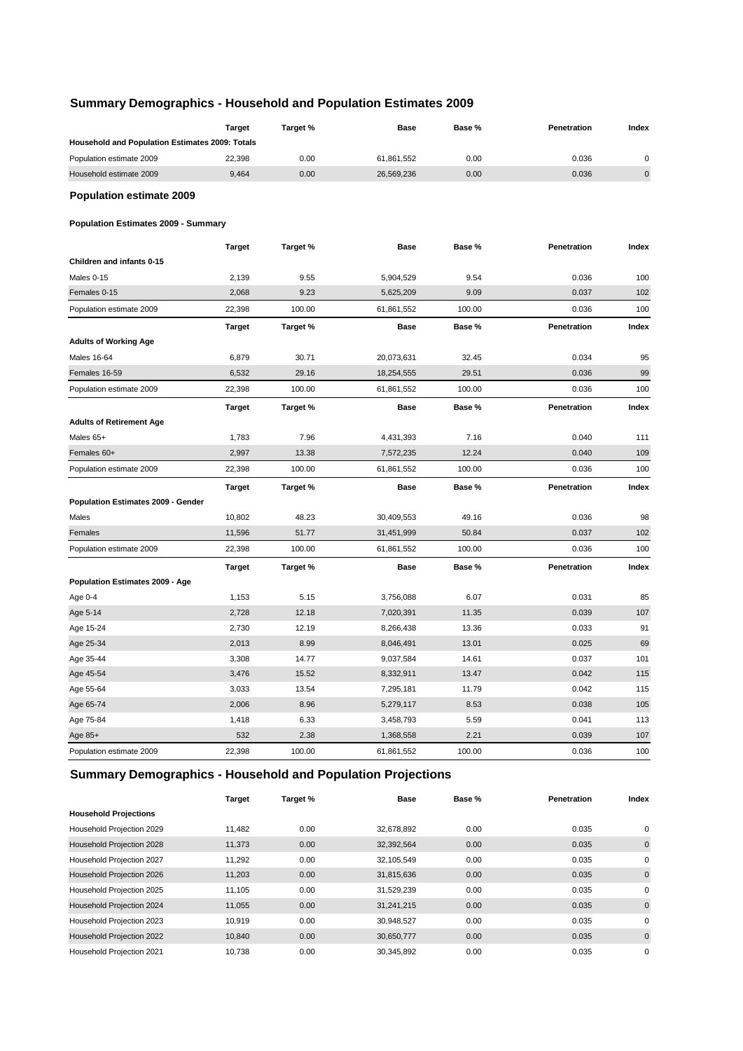# **Summary Demographics - Household and Population Estimates 2009**

|                                                 | <b>Target</b> | Target % | Base        | Base % | Penetration | Index       |
|-------------------------------------------------|---------------|----------|-------------|--------|-------------|-------------|
| Household and Population Estimates 2009: Totals |               |          |             |        |             |             |
| Population estimate 2009                        | 22,398        | 0.00     | 61,861,552  | 0.00   | 0.036       | $\mathbf 0$ |
| Household estimate 2009                         | 9,464         | 0.00     | 26,569,236  | 0.00   | 0.036       | $\pmb{0}$   |
| <b>Population estimate 2009</b>                 |               |          |             |        |             |             |
| <b>Population Estimates 2009 - Summary</b>      |               |          |             |        |             |             |
|                                                 | <b>Target</b> | Target % | <b>Base</b> | Base % | Penetration | Index       |
| Children and infants 0-15                       |               |          |             |        |             |             |
| Males 0-15                                      | 2,139         | 9.55     | 5,904,529   | 9.54   | 0.036       | 100         |
| Females 0-15                                    | 2,068         | 9.23     | 5,625,209   | 9.09   | 0.037       | 102         |
| Population estimate 2009                        | 22,398        | 100.00   | 61,861,552  | 100.00 | 0.036       | 100         |
|                                                 | Target        | Target % | Base        | Base % | Penetration | Index       |
| <b>Adults of Working Age</b>                    |               |          |             |        |             |             |
| <b>Males 16-64</b>                              | 6,879         | 30.71    | 20,073,631  | 32.45  | 0.034       | 95          |
| Females 16-59                                   | 6,532         | 29.16    | 18,254,555  | 29.51  | 0.036       | 99          |
| Population estimate 2009                        | 22,398        | 100.00   | 61,861,552  | 100.00 | 0.036       | 100         |
|                                                 | <b>Target</b> | Target % | Base        | Base % | Penetration | Index       |
| <b>Adults of Retirement Age</b>                 |               |          |             |        |             |             |
| Males 65+                                       | 1,783         | 7.96     | 4,431,393   | 7.16   | 0.040       | 111         |
| Females 60+                                     | 2,997         | 13.38    | 7,572,235   | 12.24  | 0.040       | 109         |
| Population estimate 2009                        | 22,398        | 100.00   | 61,861,552  | 100.00 | 0.036       | 100         |
|                                                 | <b>Target</b> | Target % | <b>Base</b> | Base % | Penetration | Index       |
| Population Estimates 2009 - Gender              |               |          |             |        |             |             |
| Males                                           | 10,802        | 48.23    | 30,409,553  | 49.16  | 0.036       | 98          |
| Females                                         | 11,596        | 51.77    | 31,451,999  | 50.84  | 0.037       | 102         |
| Population estimate 2009                        | 22,398        | 100.00   | 61,861,552  | 100.00 | 0.036       | 100         |
|                                                 | <b>Target</b> | Target % | <b>Base</b> | Base % | Penetration | Index       |
| Population Estimates 2009 - Age                 |               |          |             |        |             |             |
| Age 0-4                                         | 1,153         | 5.15     | 3,756,088   | 6.07   | 0.031       | 85          |
| Age 5-14                                        | 2,728         | 12.18    | 7,020,391   | 11.35  | 0.039       | 107         |
| Age 15-24                                       | 2,730         | 12.19    | 8,266,438   | 13.36  | 0.033       | 91          |
| Age 25-34                                       | 2,013         | 8.99     | 8,046,491   | 13.01  | 0.025       | 69          |
| Age 35-44                                       | 3,308         | 14.77    | 9,037,584   | 14.61  | 0.037       | 101         |
| Age 45-54                                       | 3,476         | 15.52    | 8,332,911   | 13.47  | 0.042       | 115         |
| Age 55-64                                       | 3,033         | 13.54    | 7,295,181   | 11.79  | 0.042       | 115         |
| Age 65-74                                       | 2,006         | 8.96     | 5,279,117   | 8.53   | 0.038       | 105         |
| Age 75-84                                       | 1,418         | 6.33     | 3,458,793   | 5.59   | 0.041       | 113         |
| Age $85+$                                       | 532           | 2.38     | 1,368,558   | 2.21   | 0.039       | 107         |
| Population estimate 2009                        | 22,398        | 100.00   | 61,861,552  | 100.00 | 0.036       | 100         |

# **Summary Demographics - Household and Population Projections**

|                              | <b>Target</b> | Target % | <b>Base</b> | Base % | Penetration | Index       |
|------------------------------|---------------|----------|-------------|--------|-------------|-------------|
| <b>Household Projections</b> |               |          |             |        |             |             |
| Household Projection 2029    | 11,482        | 0.00     | 32,678,892  | 0.00   | 0.035       | 0           |
| Household Projection 2028    | 11,373        | 0.00     | 32,392,564  | 0.00   | 0.035       | $\mathbf 0$ |
| Household Projection 2027    | 11,292        | 0.00     | 32,105,549  | 0.00   | 0.035       | 0           |
| Household Projection 2026    | 11,203        | 0.00     | 31,815,636  | 0.00   | 0.035       | $\mathbf 0$ |
| Household Projection 2025    | 11,105        | 0.00     | 31,529,239  | 0.00   | 0.035       | 0           |
| Household Projection 2024    | 11,055        | 0.00     | 31,241,215  | 0.00   | 0.035       | $\mathbf 0$ |
| Household Projection 2023    | 10.919        | 0.00     | 30,948,527  | 0.00   | 0.035       | 0           |
| Household Projection 2022    | 10.840        | 0.00     | 30,650,777  | 0.00   | 0.035       | $\mathbf 0$ |
| Household Projection 2021    | 10.738        | 0.00     | 30,345,892  | 0.00   | 0.035       | 0           |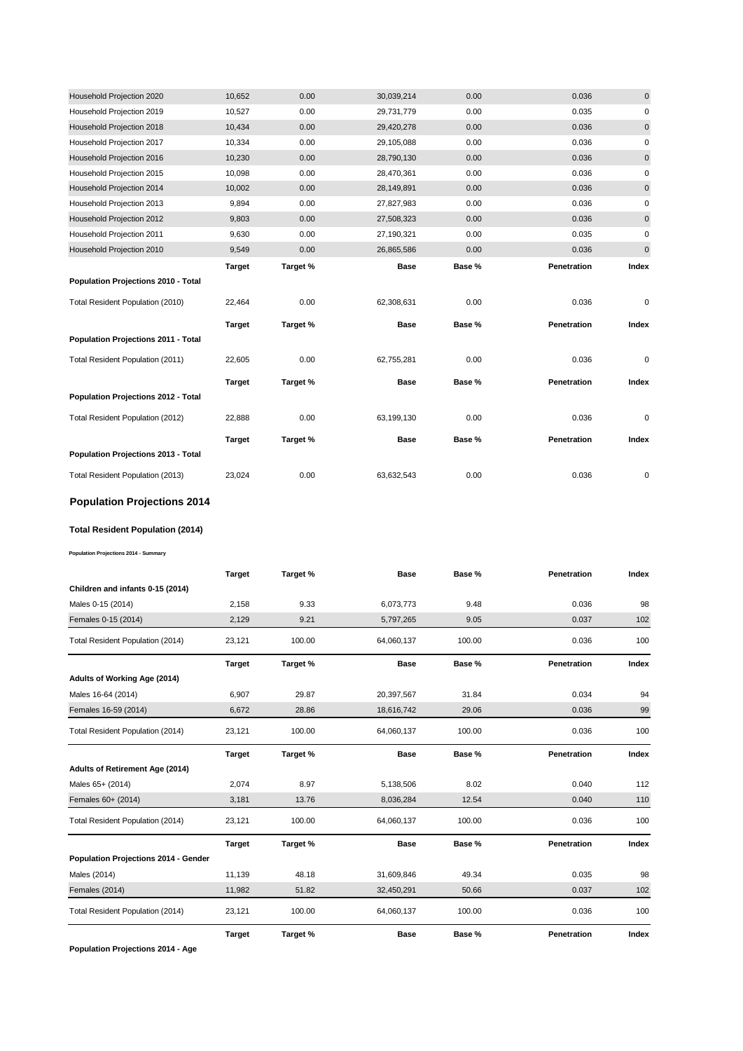| Household Projection 2020           | 10,652        | 0.00     | 30,039,214  | 0.00   | 0.036       | $\mathbf 0$ |
|-------------------------------------|---------------|----------|-------------|--------|-------------|-------------|
| Household Projection 2019           | 10,527        | 0.00     | 29,731,779  | 0.00   | 0.035       | 0           |
| Household Projection 2018           | 10,434        | 0.00     | 29,420,278  | 0.00   | 0.036       | $\pmb{0}$   |
| Household Projection 2017           | 10,334        | 0.00     | 29,105,088  | 0.00   | 0.036       | 0           |
| Household Projection 2016           | 10,230        | 0.00     | 28,790,130  | 0.00   | 0.036       | $\pmb{0}$   |
| Household Projection 2015           | 10,098        | 0.00     | 28,470,361  | 0.00   | 0.036       | 0           |
| Household Projection 2014           | 10,002        | 0.00     | 28,149,891  | 0.00   | 0.036       | 0           |
| Household Projection 2013           | 9,894         | 0.00     | 27,827,983  | 0.00   | 0.036       | 0           |
| Household Projection 2012           | 9,803         | 0.00     | 27,508,323  | 0.00   | 0.036       | $\mathbf 0$ |
| Household Projection 2011           | 9,630         | 0.00     | 27,190,321  | 0.00   | 0.035       | 0           |
| Household Projection 2010           | 9,549         | 0.00     | 26,865,586  | 0.00   | 0.036       | $\pmb{0}$   |
|                                     | <b>Target</b> | Target % | <b>Base</b> | Base % | Penetration | Index       |
| Population Projections 2010 - Total |               |          |             |        |             |             |
|                                     |               |          |             |        |             |             |
| Total Resident Population (2010)    | 22,464        | 0.00     | 62,308,631  | 0.00   | 0.036       | 0           |
|                                     | <b>Target</b> | Target % | <b>Base</b> | Base % | Penetration | Index       |
| Population Projections 2011 - Total |               |          |             |        |             |             |
| Total Resident Population (2011)    | 22,605        | 0.00     | 62,755,281  | 0.00   | 0.036       | 0           |
|                                     | <b>Target</b> | Target % | <b>Base</b> | Base % | Penetration | Index       |
| Population Projections 2012 - Total |               |          |             |        |             |             |
| Total Resident Population (2012)    | 22,888        | 0.00     | 63,199,130  | 0.00   | 0.036       | 0           |
|                                     | <b>Target</b> | Target % | <b>Base</b> | Base % | Penetration | Index       |
| Population Projections 2013 - Total |               |          |             |        |             |             |

# **Population Projections 2014**

#### **Total Resident Population (2014)**

**Population Projections 2014 - Summary**

|                                      | <b>Target</b> | Target % | <b>Base</b> | Base % | Penetration        | Index |
|--------------------------------------|---------------|----------|-------------|--------|--------------------|-------|
| Children and infants 0-15 (2014)     |               |          |             |        |                    |       |
| Males 0-15 (2014)                    | 2,158         | 9.33     | 6,073,773   | 9.48   | 0.036              | 98    |
| Females 0-15 (2014)                  | 2,129         | 9.21     | 5,797,265   | 9.05   | 0.037              | 102   |
| Total Resident Population (2014)     | 23,121        | 100.00   | 64,060,137  | 100.00 | 0.036              | 100   |
|                                      | <b>Target</b> | Target % | <b>Base</b> | Base % | <b>Penetration</b> | Index |
| Adults of Working Age (2014)         |               |          |             |        |                    |       |
| Males 16-64 (2014)                   | 6,907         | 29.87    | 20,397,567  | 31.84  | 0.034              | 94    |
| Females 16-59 (2014)                 | 6,672         | 28.86    | 18,616,742  | 29.06  | 0.036              | 99    |
| Total Resident Population (2014)     | 23,121        | 100.00   | 64,060,137  | 100.00 | 0.036              | 100   |
|                                      | <b>Target</b> | Target % | <b>Base</b> | Base % | <b>Penetration</b> | Index |
| Adults of Retirement Age (2014)      |               |          |             |        |                    |       |
| Males 65+ (2014)                     | 2,074         | 8.97     | 5,138,506   | 8.02   | 0.040              | 112   |
| Females 60+ (2014)                   | 3,181         | 13.76    | 8,036,284   | 12.54  | 0.040              | 110   |
| Total Resident Population (2014)     | 23,121        | 100.00   | 64,060,137  | 100.00 | 0.036              | 100   |
|                                      | <b>Target</b> | Target % | <b>Base</b> | Base % | Penetration        | Index |
| Population Projections 2014 - Gender |               |          |             |        |                    |       |
| Males (2014)                         | 11,139        | 48.18    | 31,609,846  | 49.34  | 0.035              | 98    |
| Females (2014)                       | 11,982        | 51.82    | 32,450,291  | 50.66  | 0.037              | 102   |
| Total Resident Population (2014)     | 23,121        | 100.00   | 64,060,137  | 100.00 | 0.036              | 100   |
|                                      | <b>Target</b> | Target % | <b>Base</b> | Base % | Penetration        | Index |

**Population Projections 2014 - Age**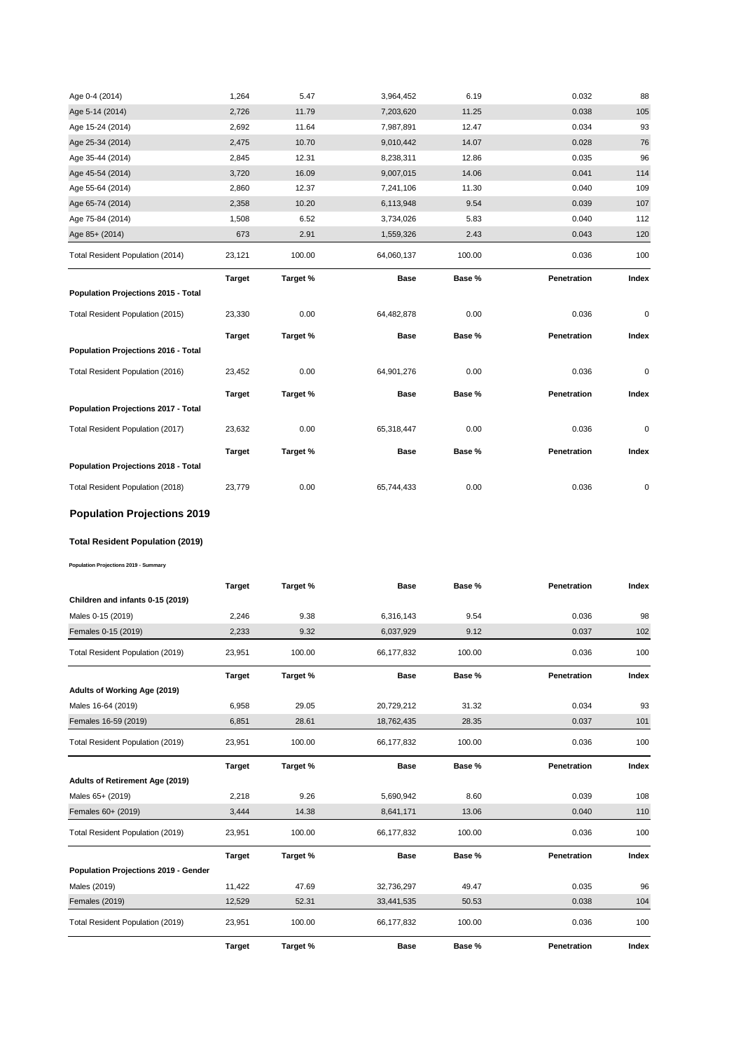| Age 0-4 (2014)                      | 1,264         | 5.47     | 3,964,452   | 6.19   | 0.032       | 88        |
|-------------------------------------|---------------|----------|-------------|--------|-------------|-----------|
| Age 5-14 (2014)                     | 2,726         | 11.79    | 7,203,620   | 11.25  | 0.038       | 105       |
| Age 15-24 (2014)                    | 2,692         | 11.64    | 7,987,891   | 12.47  | 0.034       | 93        |
| Age 25-34 (2014)                    | 2,475         | 10.70    | 9,010,442   | 14.07  | 0.028       | 76        |
| Age 35-44 (2014)                    | 2,845         | 12.31    | 8,238,311   | 12.86  | 0.035       | 96        |
| Age 45-54 (2014)                    | 3,720         | 16.09    | 9,007,015   | 14.06  | 0.041       | 114       |
| Age 55-64 (2014)                    | 2,860         | 12.37    | 7,241,106   | 11.30  | 0.040       | 109       |
| Age 65-74 (2014)                    | 2,358         | 10.20    | 6,113,948   | 9.54   | 0.039       | 107       |
| Age 75-84 (2014)                    | 1,508         | 6.52     | 3,734,026   | 5.83   | 0.040       | 112       |
| Age 85+ (2014)                      | 673           | 2.91     | 1,559,326   | 2.43   | 0.043       | 120       |
| Total Resident Population (2014)    | 23,121        | 100.00   | 64,060,137  | 100.00 | 0.036       | 100       |
|                                     | <b>Target</b> | Target % | <b>Base</b> | Base % | Penetration | Index     |
| Population Projections 2015 - Total |               |          |             |        |             |           |
| Total Resident Population (2015)    | 23,330        | 0.00     | 64,482,878  | 0.00   | 0.036       | 0         |
|                                     | <b>Target</b> | Target % | <b>Base</b> | Base % | Penetration | Index     |
| Population Projections 2016 - Total |               |          |             |        |             |           |
| Total Resident Population (2016)    | 23,452        | 0.00     |             |        |             |           |
|                                     |               |          | 64,901,276  | 0.00   | 0.036       | $\pmb{0}$ |
|                                     | <b>Target</b> | Target % | <b>Base</b> | Base % | Penetration | Index     |
| Population Projections 2017 - Total |               |          |             |        |             |           |
| Total Resident Population (2017)    | 23,632        | 0.00     | 65,318,447  | 0.00   | 0.036       | 0         |
|                                     | <b>Target</b> | Target % | <b>Base</b> | Base % | Penetration | Index     |
| Population Projections 2018 - Total |               |          |             |        |             |           |

# **Population Projections 2019**

# **Total Resident Population (2019)**

**Population Projections 2019 - Summary**

|                                      | <b>Target</b> | Target % | <b>Base</b> | Base % | Penetration | Index |
|--------------------------------------|---------------|----------|-------------|--------|-------------|-------|
| Children and infants 0-15 (2019)     |               |          |             |        |             |       |
| Males 0-15 (2019)                    | 2,246         | 9.38     | 6,316,143   | 9.54   | 0.036       | 98    |
| Females 0-15 (2019)                  | 2,233         | 9.32     | 6,037,929   | 9.12   | 0.037       | 102   |
| Total Resident Population (2019)     | 23,951        | 100.00   | 66,177,832  | 100.00 | 0.036       | 100   |
|                                      | <b>Target</b> | Target % | <b>Base</b> | Base % | Penetration | Index |
| Adults of Working Age (2019)         |               |          |             |        |             |       |
| Males 16-64 (2019)                   | 6,958         | 29.05    | 20,729,212  | 31.32  | 0.034       | 93    |
| Females 16-59 (2019)                 | 6,851         | 28.61    | 18,762,435  | 28.35  | 0.037       | 101   |
| Total Resident Population (2019)     | 23,951        | 100.00   | 66,177,832  | 100.00 | 0.036       | 100   |
|                                      | <b>Target</b> | Target % | <b>Base</b> | Base % | Penetration | Index |
| Adults of Retirement Age (2019)      |               |          |             |        |             |       |
| Males 65+ (2019)                     | 2,218         | 9.26     | 5,690,942   | 8.60   | 0.039       | 108   |
| Females 60+ (2019)                   | 3,444         | 14.38    | 8,641,171   | 13.06  | 0.040       | 110   |
| Total Resident Population (2019)     | 23,951        | 100.00   | 66,177,832  | 100.00 | 0.036       | 100   |
|                                      | <b>Target</b> | Target % | <b>Base</b> | Base % | Penetration | Index |
| Population Projections 2019 - Gender |               |          |             |        |             |       |
| Males (2019)                         | 11,422        | 47.69    | 32,736,297  | 49.47  | 0.035       | 96    |
| <b>Females (2019)</b>                | 12,529        | 52.31    | 33,441,535  | 50.53  | 0.038       | 104   |
| Total Resident Population (2019)     | 23,951        | 100.00   | 66,177,832  | 100.00 | 0.036       | 100   |
|                                      | <b>Target</b> | Target % | <b>Base</b> | Base % | Penetration | Index |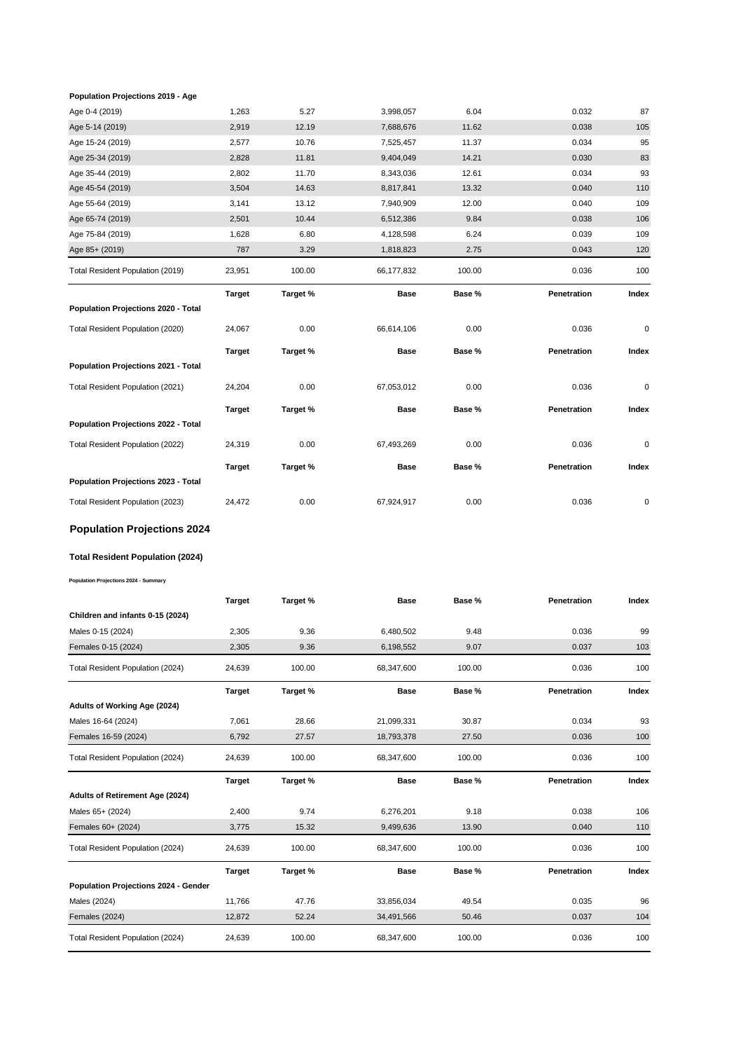#### **Population Projections 2019 - Age**

| Age 0-4 (2019)                          | 1,263         | 5.27     | 3,998,057   | 6.04   | 0.032       | 87        |
|-----------------------------------------|---------------|----------|-------------|--------|-------------|-----------|
| Age 5-14 (2019)                         | 2,919         | 12.19    | 7,688,676   | 11.62  | 0.038       | 105       |
| Age 15-24 (2019)                        | 2,577         | 10.76    | 7,525,457   | 11.37  | 0.034       | 95        |
| Age 25-34 (2019)                        | 2,828         | 11.81    | 9,404,049   | 14.21  | 0.030       | 83        |
| Age 35-44 (2019)                        | 2,802         | 11.70    | 8,343,036   | 12.61  | 0.034       | 93        |
| Age 45-54 (2019)                        | 3,504         | 14.63    | 8,817,841   | 13.32  | 0.040       | 110       |
| Age 55-64 (2019)                        | 3,141         | 13.12    | 7,940,909   | 12.00  | 0.040       | 109       |
| Age 65-74 (2019)                        | 2,501         | 10.44    | 6,512,386   | 9.84   | 0.038       | 106       |
| Age 75-84 (2019)                        | 1,628         | 6.80     | 4,128,598   | 6.24   | 0.039       | 109       |
| Age 85+ (2019)                          | 787           | 3.29     | 1,818,823   | 2.75   | 0.043       | 120       |
| Total Resident Population (2019)        | 23,951        | 100.00   | 66,177,832  | 100.00 | 0.036       | 100       |
|                                         | <b>Target</b> | Target % | <b>Base</b> | Base % | Penetration | Index     |
| Population Projections 2020 - Total     |               |          |             |        |             |           |
| Total Resident Population (2020)        | 24,067        | 0.00     | 66,614,106  | 0.00   | 0.036       | 0         |
|                                         | <b>Target</b> | Target % | Base        | Base % | Penetration | Index     |
| Population Projections 2021 - Total     |               |          |             |        |             |           |
| Total Resident Population (2021)        | 24,204        | 0.00     | 67,053,012  | 0.00   | 0.036       | $\pmb{0}$ |
|                                         | <b>Target</b> | Target % | Base        | Base % | Penetration | Index     |
| Population Projections 2022 - Total     |               |          |             |        |             |           |
| Total Resident Population (2022)        | 24,319        | 0.00     | 67,493,269  | 0.00   | 0.036       | $\pmb{0}$ |
|                                         | <b>Target</b> | Target % | <b>Base</b> | Base % | Penetration | Index     |
| Population Projections 2023 - Total     |               |          |             |        |             |           |
| Total Resident Population (2023)        | 24,472        | 0.00     | 67,924,917  | 0.00   | 0.036       | 0         |
| <b>Population Projections 2024</b>      |               |          |             |        |             |           |
| <b>Total Resident Population (2024)</b> |               |          |             |        |             |           |

**Population Projections 2024 - Summary**

|                                      | <b>Target</b> | Target % | <b>Base</b> | Base % | Penetration | Index |
|--------------------------------------|---------------|----------|-------------|--------|-------------|-------|
| Children and infants 0-15 (2024)     |               |          |             |        |             |       |
| Males 0-15 (2024)                    | 2,305         | 9.36     | 6,480,502   | 9.48   | 0.036       | 99    |
| Females 0-15 (2024)                  | 2,305         | 9.36     | 6,198,552   | 9.07   | 0.037       | 103   |
| Total Resident Population (2024)     | 24,639        | 100.00   | 68,347,600  | 100.00 | 0.036       | 100   |
|                                      | <b>Target</b> | Target % | <b>Base</b> | Base % | Penetration | Index |
| Adults of Working Age (2024)         |               |          |             |        |             |       |
| Males 16-64 (2024)                   | 7,061         | 28.66    | 21,099,331  | 30.87  | 0.034       | 93    |
| Females 16-59 (2024)                 | 6,792         | 27.57    | 18,793,378  | 27.50  | 0.036       | 100   |
| Total Resident Population (2024)     | 24,639        | 100.00   | 68,347,600  | 100.00 | 0.036       | 100   |
|                                      |               |          |             |        |             |       |
|                                      | <b>Target</b> | Target % | <b>Base</b> | Base % | Penetration | Index |
| Adults of Retirement Age (2024)      |               |          |             |        |             |       |
| Males 65+ (2024)                     | 2,400         | 9.74     | 6,276,201   | 9.18   | 0.038       | 106   |
| Females 60+ (2024)                   | 3,775         | 15.32    | 9,499,636   | 13.90  | 0.040       | 110   |
| Total Resident Population (2024)     | 24,639        | 100.00   | 68,347,600  | 100.00 | 0.036       | 100   |
|                                      | <b>Target</b> | Target % | <b>Base</b> | Base % | Penetration | Index |
| Population Projections 2024 - Gender |               |          |             |        |             |       |
| Males (2024)                         | 11,766        | 47.76    | 33,856,034  | 49.54  | 0.035       | 96    |
| Females (2024)                       | 12,872        | 52.24    | 34,491,566  | 50.46  | 0.037       | 104   |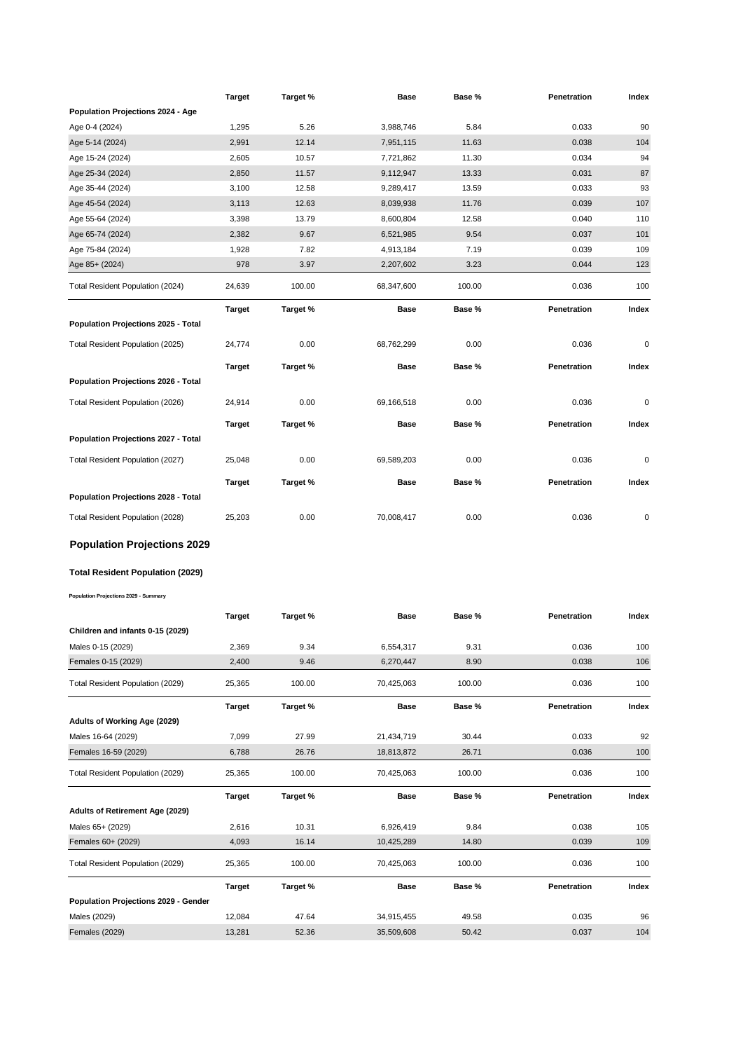|                                             | Target        | Target % | Base        | Base % | Penetration | Index |
|---------------------------------------------|---------------|----------|-------------|--------|-------------|-------|
| Population Projections 2024 - Age           |               |          |             |        |             |       |
| Age 0-4 (2024)                              | 1,295         | 5.26     | 3,988,746   | 5.84   | 0.033       | 90    |
| Age 5-14 (2024)                             | 2,991         | 12.14    | 7,951,115   | 11.63  | 0.038       | 104   |
| Age 15-24 (2024)                            | 2,605         | 10.57    | 7,721,862   | 11.30  | 0.034       | 94    |
| Age 25-34 (2024)                            | 2,850         | 11.57    | 9,112,947   | 13.33  | 0.031       | 87    |
| Age 35-44 (2024)                            | 3,100         | 12.58    | 9,289,417   | 13.59  | 0.033       | 93    |
| Age 45-54 (2024)                            | 3,113         | 12.63    | 8,039,938   | 11.76  | 0.039       | 107   |
| Age 55-64 (2024)                            | 3,398         | 13.79    | 8,600,804   | 12.58  | 0.040       | 110   |
| Age 65-74 (2024)                            | 2,382         | 9.67     | 6,521,985   | 9.54   | 0.037       | 101   |
| Age 75-84 (2024)                            | 1,928         | 7.82     | 4,913,184   | 7.19   | 0.039       | 109   |
| Age 85+ (2024)                              | 978           | 3.97     | 2,207,602   | 3.23   | 0.044       | 123   |
| Total Resident Population (2024)            | 24,639        | 100.00   | 68,347,600  | 100.00 | 0.036       | 100   |
|                                             | <b>Target</b> | Target % | Base        | Base % | Penetration | Index |
| Population Projections 2025 - Total         |               |          |             |        |             |       |
| Total Resident Population (2025)            | 24,774        | 0.00     | 68,762,299  | 0.00   | 0.036       | 0     |
|                                             | <b>Target</b> | Target % | <b>Base</b> | Base % | Penetration | Index |
| Population Projections 2026 - Total         |               |          |             |        |             |       |
| Total Resident Population (2026)            | 24,914        | 0.00     | 69,166,518  | 0.00   | 0.036       | 0     |
|                                             |               |          |             |        |             |       |
| Population Projections 2027 - Total         | <b>Target</b> | Target % | <b>Base</b> | Base % | Penetration | Index |
|                                             |               |          |             |        |             |       |
| Total Resident Population (2027)            | 25,048        | 0.00     | 69,589,203  | 0.00   | 0.036       | 0     |
|                                             | <b>Target</b> | Target % | Base        | Base % | Penetration | Index |
| <b>Population Projections 2028 - Total</b>  |               |          |             |        |             |       |
| Total Resident Population (2028)            | 25,203        | 0.00     | 70,008,417  | 0.00   | 0.036       | 0     |
| <b>Population Projections 2029</b>          |               |          |             |        |             |       |
| Total Resident Population (2029)            |               |          |             |        |             |       |
|                                             |               |          |             |        |             |       |
| Population Projections 2029 - Summary       |               |          |             |        |             |       |
|                                             | Target        | Target % | Base        | Base % | Penetration | Index |
| Children and infants 0-15 (2029)            |               |          |             |        |             |       |
| Males 0-15 (2029)                           | 2,369         | 9.34     | 6,554,317   | 9.31   | 0.036       | 100   |
| Females 0-15 (2029)                         | 2,400         | 9.46     | 6,270,447   | 8.90   | 0.038       | 106   |
| Total Resident Population (2029)            | 25,365        | 100.00   | 70,425,063  | 100.00 | 0.036       | 100   |
|                                             | Target        | Target % | Base        | Base % | Penetration | Index |
| Adults of Working Age (2029)                |               |          |             |        |             |       |
| Males 16-64 (2029)                          | 7,099         | 27.99    | 21,434,719  | 30.44  | 0.033       | 92    |
| Females 16-59 (2029)                        | 6,788         | 26.76    | 18,813,872  | 26.71  | 0.036       | 100   |
|                                             |               |          |             |        |             |       |
| Total Resident Population (2029)            | 25,365        | 100.00   | 70,425,063  | 100.00 | 0.036       | 100   |
|                                             | Target        | Target % | Base        | Base % | Penetration | Index |
| <b>Adults of Retirement Age (2029)</b>      |               |          |             |        |             |       |
| Males 65+ (2029)                            | 2,616         | 10.31    | 6,926,419   | 9.84   | 0.038       | 105   |
| Females 60+ (2029)                          | 4,093         | 16.14    | 10,425,289  | 14.80  | 0.039       | 109   |
| Total Resident Population (2029)            | 25,365        | 100.00   | 70,425,063  | 100.00 | 0.036       | 100   |
|                                             | <b>Target</b> | Target % | Base        | Base % | Penetration | Index |
| <b>Population Projections 2029 - Gender</b> |               |          |             |        |             |       |
| Males (2029)                                | 12,084        | 47.64    | 34,915,455  | 49.58  | 0.035       | 96    |
| <b>Females (2029)</b>                       | 13,281        | 52.36    | 35,509,608  | 50.42  | 0.037       | 104   |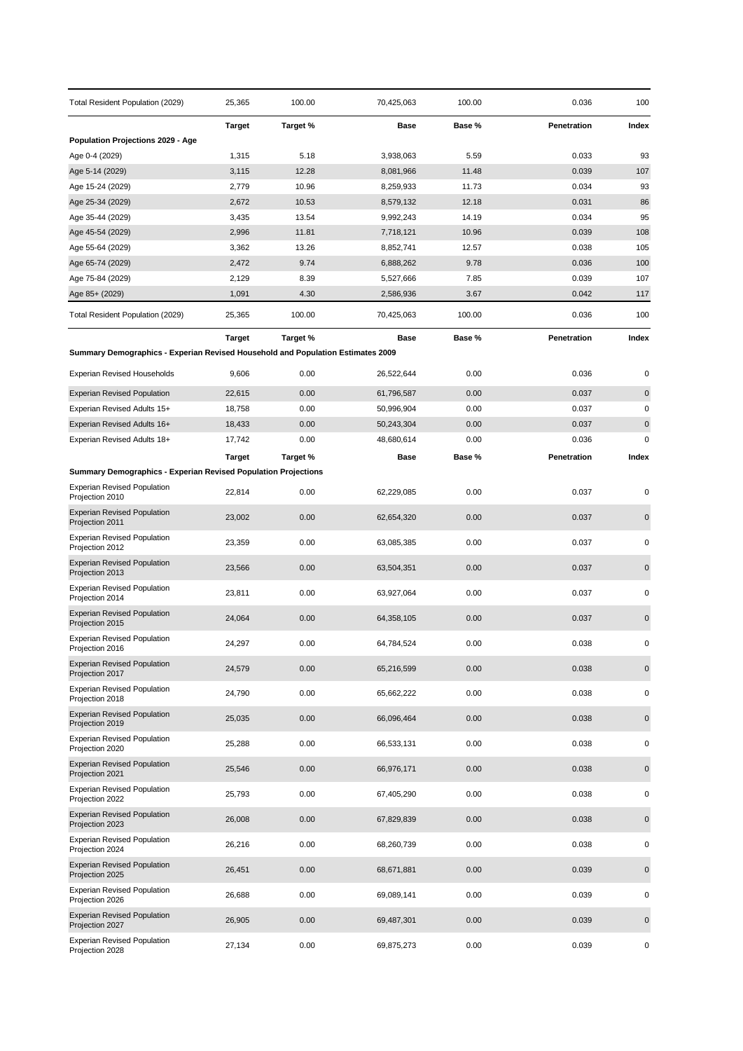| Total Resident Population (2029)                                                | 25,365         | 100.00         | 70,425,063             | 100.00         | 0.036          | 100         |
|---------------------------------------------------------------------------------|----------------|----------------|------------------------|----------------|----------------|-------------|
|                                                                                 | <b>Target</b>  | Target %       | Base                   | Base %         | Penetration    | Index       |
| <b>Population Projections 2029 - Age</b>                                        |                |                |                        |                |                |             |
| Age 0-4 (2029)                                                                  | 1,315          | 5.18           | 3,938,063              | 5.59           | 0.033          | 93          |
| Age 5-14 (2029)                                                                 | 3,115          | 12.28          | 8,081,966              | 11.48          | 0.039          | 107         |
| Age 15-24 (2029)                                                                | 2,779          | 10.96          | 8,259,933              | 11.73          | 0.034          | 93          |
| Age 25-34 (2029)<br>Age 35-44 (2029)                                            | 2,672<br>3,435 | 10.53<br>13.54 | 8,579,132<br>9,992,243 | 12.18<br>14.19 | 0.031<br>0.034 | 86<br>95    |
| Age 45-54 (2029)                                                                | 2,996          | 11.81          | 7,718,121              | 10.96          | 0.039          | 108         |
| Age 55-64 (2029)                                                                | 3,362          | 13.26          | 8,852,741              | 12.57          | 0.038          | 105         |
| Age 65-74 (2029)                                                                | 2,472          | 9.74           | 6,888,262              | 9.78           | 0.036          | 100         |
| Age 75-84 (2029)                                                                | 2,129          | 8.39           | 5,527,666              | 7.85           | 0.039          | 107         |
| Age 85+ (2029)                                                                  | 1,091          | 4.30           | 2,586,936              | 3.67           | 0.042          | 117         |
| Total Resident Population (2029)                                                | 25,365         | 100.00         | 70,425,063             | 100.00         | 0.036          | 100         |
|                                                                                 | <b>Target</b>  | Target %       | <b>Base</b>            | Base %         | Penetration    | Index       |
| Summary Demographics - Experian Revised Household and Population Estimates 2009 |                |                |                        |                |                |             |
| <b>Experian Revised Households</b>                                              | 9,606          | 0.00           | 26,522,644             | 0.00           | 0.036          | 0           |
| <b>Experian Revised Population</b>                                              | 22,615         | 0.00           | 61,796,587             | 0.00           | 0.037          | $\mathbf 0$ |
| Experian Revised Adults 15+                                                     | 18,758         | 0.00           | 50,996,904             | 0.00           | 0.037          | $\pmb{0}$   |
| Experian Revised Adults 16+                                                     | 18,433         | 0.00           | 50,243,304             | 0.00           | 0.037          | $\pmb{0}$   |
| Experian Revised Adults 18+                                                     | 17,742         | 0.00           | 48,680,614             | 0.00           | 0.036          | $\mathbf 0$ |
|                                                                                 | <b>Target</b>  | Target %       | Base                   | Base %         | Penetration    | Index       |
| <b>Summary Demographics - Experian Revised Population Projections</b>           |                |                |                        |                |                |             |
| <b>Experian Revised Population</b><br>Projection 2010                           | 22,814         | 0.00           | 62,229,085             | 0.00           | 0.037          | 0           |
| <b>Experian Revised Population</b><br>Projection 2011                           | 23,002         | 0.00           | 62,654,320             | 0.00           | 0.037          | $\mathbf 0$ |
| <b>Experian Revised Population</b><br>Projection 2012                           | 23,359         | 0.00           | 63,085,385             | 0.00           | 0.037          | 0           |
| <b>Experian Revised Population</b><br>Projection 2013                           | 23,566         | 0.00           | 63,504,351             | 0.00           | 0.037          | $\pmb{0}$   |
| <b>Experian Revised Population</b><br>Projection 2014                           | 23,811         | 0.00           | 63,927,064             | 0.00           | 0.037          | 0           |
| <b>Experian Revised Population</b><br>Projection 2015                           | 24,064         | 0.00           | 64,358,105             | 0.00           | 0.037          | $\mathbf 0$ |
| <b>Experian Revised Population</b><br>Projection 2016                           | 24,297         | 0.00           | 64,784,524             | 0.00           | 0.038          | 0           |
| <b>Experian Revised Population</b><br>Projection 2017                           | 24,579         | 0.00           | 65,216,599             | 0.00           | 0.038          | $\pmb{0}$   |
| <b>Experian Revised Population</b><br>Projection 2018                           | 24,790         | 0.00           | 65,662,222             | 0.00           | 0.038          | 0           |
| <b>Experian Revised Population</b><br>Projection 2019                           | 25,035         | 0.00           | 66,096,464             | 0.00           | 0.038          | $\pmb{0}$   |
| <b>Experian Revised Population</b><br>Projection 2020                           | 25,288         | 0.00           | 66,533,131             | 0.00           | 0.038          | 0           |
| <b>Experian Revised Population</b><br>Projection 2021                           | 25,546         | 0.00           | 66,976,171             | 0.00           | 0.038          | $\mathbf 0$ |
| <b>Experian Revised Population</b><br>Projection 2022                           | 25,793         | 0.00           | 67,405,290             | 0.00           | 0.038          | 0           |
| <b>Experian Revised Population</b><br>Projection 2023                           | 26,008         | 0.00           | 67,829,839             | 0.00           | 0.038          | $\mathbf 0$ |
| <b>Experian Revised Population</b><br>Projection 2024                           | 26,216         | 0.00           | 68,260,739             | 0.00           | 0.038          | $\pmb{0}$   |
| <b>Experian Revised Population</b><br>Projection 2025                           | 26,451         | 0.00           | 68,671,881             | 0.00           | 0.039          | $\mathbf 0$ |
| <b>Experian Revised Population</b><br>Projection 2026                           | 26,688         | 0.00           | 69,089,141             | 0.00           | 0.039          | 0           |
| <b>Experian Revised Population</b><br>Projection 2027                           | 26,905         | 0.00           | 69,487,301             | 0.00           | 0.039          | $\mathbf 0$ |
| <b>Experian Revised Population</b><br>Projection 2028                           | 27,134         | 0.00           | 69,875,273             | 0.00           | 0.039          | 0           |